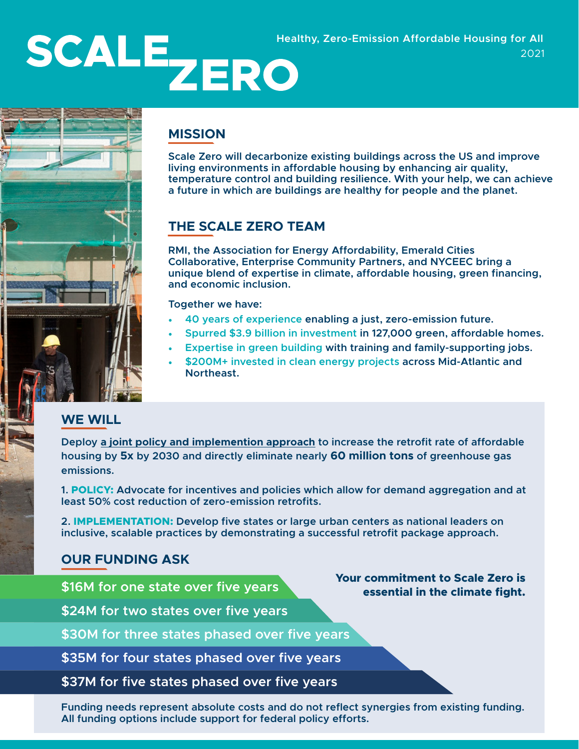# **SCALE Healthy, Zero-Emission Affordable Housing for All<br>2021**



# **MISSION**

**Scale Zero will decarbonize existing buildings across the US and improve living environments in affordable housing by enhancing air quality, temperature control and building resilience. With your help, we can achieve a future in which are buildings are healthy for people and the planet.** 

2021

## **THE SCALE ZERO TEAM**

**RMI, the Association for Energy Affordability, Emerald Cities Collaborative, Enterprise Community Partners, and NYCEEC bring a unique blend of expertise in climate, affordable housing, green financing, and economic inclusion.** 

**Together we have:** 

- **40 years of experience enabling a just, zero-emission future.**
- **Spurred \$3.9 billion in investment in 127,000 green, affordable homes.**
- **Expertise in green building with training and family-supporting jobs.**
- **\$200M+ invested in clean energy projects across Mid-Atlantic and Northeast.**

#### **WE WILL**

**Deploy a joint policy and implemention approach to increase the retrofit rate of affordable housing by 5x by 2030 and directly eliminate nearly 60 million tons of greenhouse gas emissions.** 

**1. POLICY: Advocate for incentives and policies which allow for demand aggregation and at least 50% cost reduction of zero-emission retrofits.**

**2. IMPLEMENTATION: Develop five states or large urban centers as national leaders on inclusive, scalable practices by demonstrating a successful retrofit package approach.**

#### **OUR FUNDING ASK**

**\$16M for one state over five years** 

**\$24M for two states over five years** 

**\$30M for three states phased over five years** 

**\$35M for four states phased over five years** 

**\$37M for five states phased over five years** 

**Funding needs represent absolute costs and do not reflect synergies from existing funding. All funding options include support for federal policy efforts.** 

**Your commitment to Scale Zero is essential in the climate fight.**